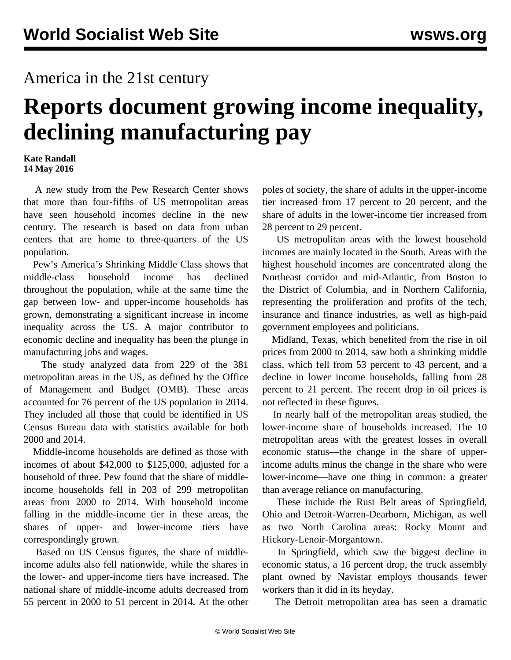## America in the 21st century

## **Reports document growing income inequality, declining manufacturing pay**

## **Kate Randall 14 May 2016**

 A new study from the Pew Research Center shows that more than four-fifths of US metropolitan areas have seen household incomes decline in the new century. The research is based on data from urban centers that are home to three-quarters of the US population.

 Pew's [America's Shrinking Middle Class](http://www.pewsocialtrends.org/2016/05/11/americas-shrinking-middle-class-a-close-look-at-changes-within-metropolitan-areas/) shows that middle-class household income has declined throughout the population, while at the same time the gap between low- and upper-income households has grown, demonstrating a significant increase in income inequality across the US. A major contributor to economic decline and inequality has been the plunge in manufacturing jobs and wages.

 The study analyzed data from 229 of the 381 metropolitan areas in the US, as defined by the Office of Management and Budget (OMB). These areas accounted for 76 percent of the US population in 2014. They included all those that could be identified in US Census Bureau data with statistics available for both 2000 and 2014.

 Middle-income households are defined as those with incomes of about \$42,000 to \$125,000, adjusted for a household of three. Pew found that the share of middleincome households fell in 203 of 299 metropolitan areas from 2000 to 2014. With household income falling in the middle-income tier in these areas, the shares of upper- and lower-income tiers have correspondingly grown.

 Based on US Census figures, the share of middleincome adults also fell nationwide, while the shares in the lower- and upper-income tiers have increased. The national share of middle-income adults decreased from 55 percent in 2000 to 51 percent in 2014. At the other poles of society, the share of adults in the upper-income tier increased from 17 percent to 20 percent, and the share of adults in the lower-income tier increased from 28 percent to 29 percent.

 US metropolitan areas with the lowest household incomes are mainly located in the South. Areas with the highest household incomes are concentrated along the Northeast corridor and mid-Atlantic, from Boston to the District of Columbia, and in Northern California, representing the proliferation and profits of the tech, insurance and finance industries, as well as high-paid government employees and politicians.

 Midland, Texas, which benefited from the rise in oil prices from 2000 to 2014, saw both a shrinking middle class, which fell from 53 percent to 43 percent, and a decline in lower income households, falling from 28 percent to 21 percent. The recent drop in oil prices is not reflected in these figures.

 In nearly half of the metropolitan areas studied, the lower-income share of households increased. The 10 metropolitan areas with the greatest losses in overall economic status—the change in the share of upperincome adults minus the change in the share who were lower-income—have one thing in common: a greater than average reliance on manufacturing.

 These include the Rust Belt areas of Springfield, Ohio and Detroit-Warren-Dearborn, Michigan, as well as two North Carolina areas: Rocky Mount and Hickory-Lenoir-Morgantown.

 In Springfield, which saw the biggest decline in economic status, a 16 percent drop, the truck assembly plant owned by Navistar employs thousands fewer workers than it did in its heyday.

The Detroit metropolitan area has seen a dramatic